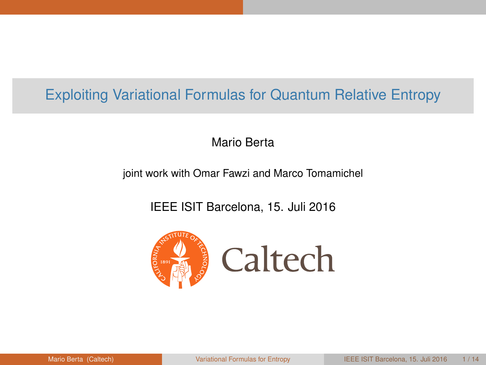# <span id="page-0-0"></span>Exploiting Variational Formulas for Quantum Relative Entropy

Mario Berta

joint work with Omar Fawzi and Marco Tomamichel

IEEE ISIT Barcelona, 15. Juli 2016

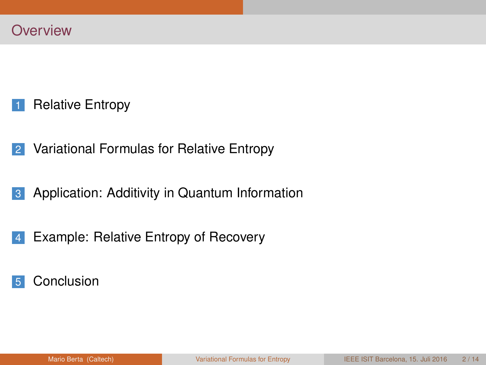- [Relative Entropy](#page-2-0)
- [Variational Formulas for Relative Entropy](#page-11-0)
- [Application: Additivity in Quantum Information](#page-15-0)
- [Example: Relative Entropy of Recovery](#page-24-0)
- [Conclusion](#page-34-0)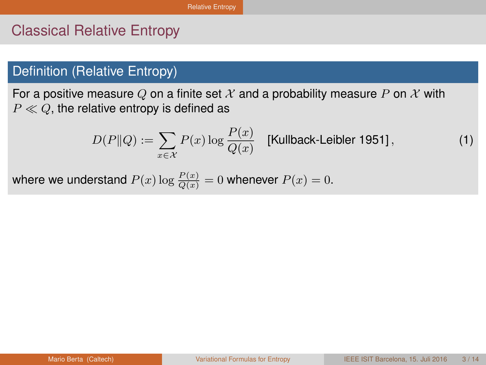## <span id="page-2-0"></span>Classical Relative Entropy

### Definition (Relative Entropy)

For a positive measure Q on a finite set X and a probability measure P on X with  $P \ll Q$ , the relative entropy is defined as

$$
D(P||Q) := \sum_{x \in \mathcal{X}} P(x) \log \frac{P(x)}{Q(x)} \quad \text{[Kullback-Leibler 1951]},\tag{1}
$$

where we understand  $P(x) \log \frac{P(x)}{Q(x)} = 0$  whenever  $P(x) = 0$ .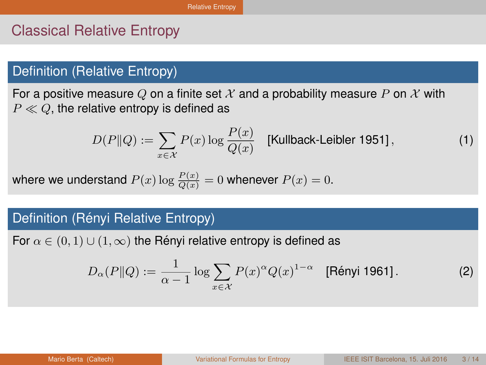## <span id="page-3-0"></span>Classical Relative Entropy

### Definition (Relative Entropy)

For a positive measure Q on a finite set X and a probability measure P on X with  $P \ll Q$ , the relative entropy is defined as

$$
D(P||Q) := \sum_{x \in \mathcal{X}} P(x) \log \frac{P(x)}{Q(x)} \quad \text{[Kullback-Leibler 1951]},\tag{1}
$$

where we understand  $P(x) \log \frac{P(x)}{Q(x)} = 0$  whenever  $P(x) = 0$ .

#### Definition (Rényi Relative Entropy)

For  $\alpha \in (0,1) \cup (1,\infty)$  the Rényi relative entropy is defined as

$$
D_{\alpha}(P||Q) := \frac{1}{\alpha - 1} \log \sum_{x \in \mathcal{X}} P(x)^{\alpha} Q(x)^{1 - \alpha} \quad \text{[Rényi 1961]}.
$$
 (2)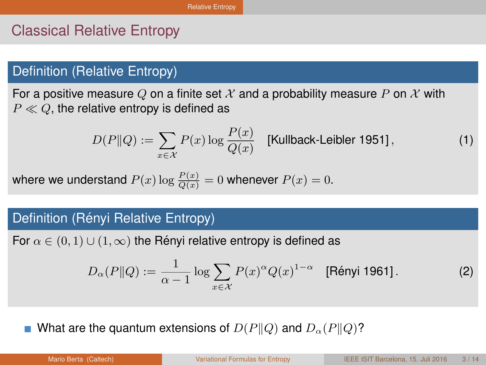# <span id="page-4-0"></span>Classical Relative Entropy

### Definition (Relative Entropy)

For a positive measure Q on a finite set X and a probability measure P on X with  $P \ll Q$ , the relative entropy is defined as

$$
D(P||Q) := \sum_{x \in \mathcal{X}} P(x) \log \frac{P(x)}{Q(x)} \quad \text{[Kullback-Leibler 1951]},\tag{1}
$$

where we understand  $P(x) \log \frac{P(x)}{Q(x)} = 0$  whenever  $P(x) = 0$ .

#### Definition (Rényi Relative Entropy)

For  $\alpha \in (0,1) \cup (1,\infty)$  the Rényi relative entropy is defined as

$$
D_{\alpha}(P||Q) := \frac{1}{\alpha - 1} \log \sum_{x \in \mathcal{X}} P(x)^{\alpha} Q(x)^{1 - \alpha} \quad \text{[Rényi 1961]}.
$$
 (2)

What are the quantum extensions of  $D(P||Q)$  and  $D<sub>\alpha</sub>(P||Q)$ ?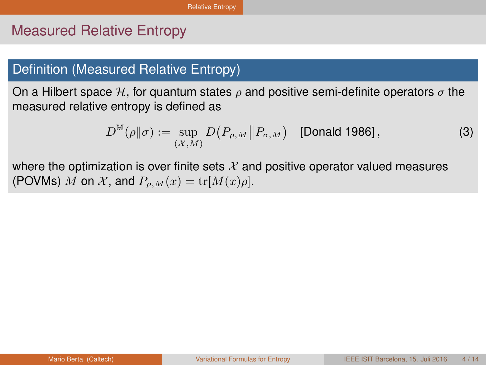## <span id="page-5-0"></span>Measured Relative Entropy

#### Definition (Measured Relative Entropy)

On a Hilbert space H, for quantum states  $\rho$  and positive semi-definite operators  $\sigma$  the measured relative entropy is defined as

$$
D^{\mathbb{M}}(\rho||\sigma) := \sup_{(\mathcal{X},M)} D(P_{\rho,M}||P_{\sigma,M}) \quad \text{[Donald 1986],}
$$
 (3)

where the optimization is over finite sets  $X$  and positive operator valued measures (POVMs) M on X, and  $P_{\rho,M}(x) = \text{tr}[M(x)\rho].$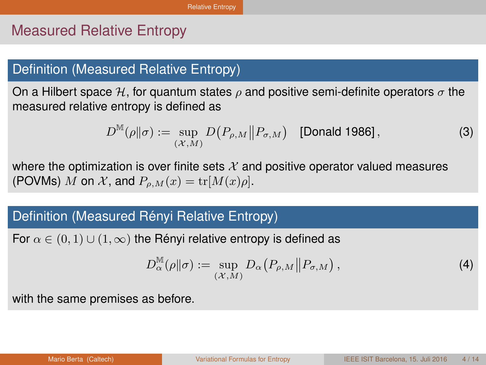## <span id="page-6-0"></span>Measured Relative Entropy

#### Definition (Measured Relative Entropy)

On a Hilbert space H, for quantum states  $\rho$  and positive semi-definite operators  $\sigma$  the measured relative entropy is defined as

$$
D^{\mathbb{M}}(\rho||\sigma) := \sup_{(\mathcal{X},M)} D(P_{\rho,M}||P_{\sigma,M}) \quad \text{[Donald 1986]},
$$
 (3)

where the optimization is over finite sets  $X$  and positive operator valued measures (POVMs) M on X, and  $P_{\rho,M}(x) = \text{tr}[M(x)\rho]$ .

### Definition (Measured Rényi Relative Entropy)

For  $\alpha \in (0,1) \cup (1,\infty)$  the Rényi relative entropy is defined as

$$
D_{\alpha}^{\mathbb{M}}(\rho\|\sigma) := \sup_{(\mathcal{X},M)} D_{\alpha}\big(P_{\rho,M}\big\|P_{\sigma,M}\big)\,,\tag{4}
$$

with the same premises as before.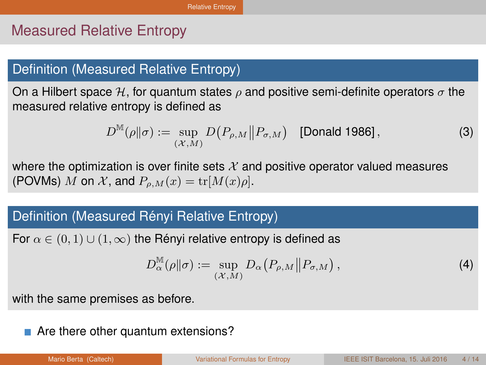# <span id="page-7-0"></span>Measured Relative Entropy

#### Definition (Measured Relative Entropy)

On a Hilbert space H, for quantum states  $\rho$  and positive semi-definite operators  $\sigma$  the measured relative entropy is defined as

$$
D^{\mathbb{M}}(\rho||\sigma) := \sup_{(\mathcal{X},M)} D(P_{\rho,M}||P_{\sigma,M}) \quad \text{[Donald 1986]},
$$
 (3)

where the optimization is over finite sets  $X$  and positive operator valued measures (POVMs) M on X, and  $P_{\rho,M}(x) = \text{tr}[M(x)\rho].$ 

### Definition (Measured Rényi Relative Entropy)

For  $\alpha \in (0,1) \cup (1,\infty)$  the Rényi relative entropy is defined as

$$
D_{\alpha}^{\mathbb{M}}(\rho||\sigma) := \sup_{(\mathcal{X},M)} D_{\alpha}\big(P_{\rho,M}||P_{\sigma,M}\big), \tag{4}
$$

with the same premises as before.

■ Are there other quantum extensions?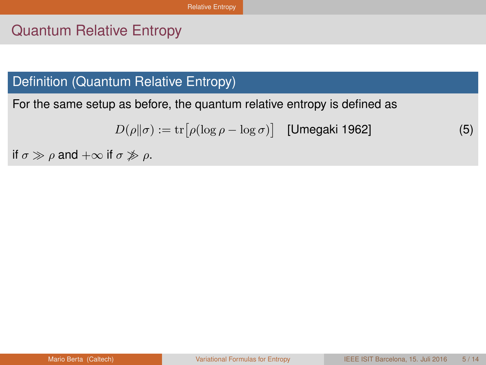# <span id="page-8-0"></span>Quantum Relative Entropy

# Definition (Quantum Relative Entropy)

For the same setup as before, the quantum relative entropy is defined as

$$
D(\rho||\sigma) := \text{tr}\big[\rho(\log \rho - \log \sigma)\big] \quad \text{[Umegaki 1962]}
$$
 (5)

if  $\sigma \gg \rho$  and  $+\infty$  if  $\sigma \not\gg \rho$ .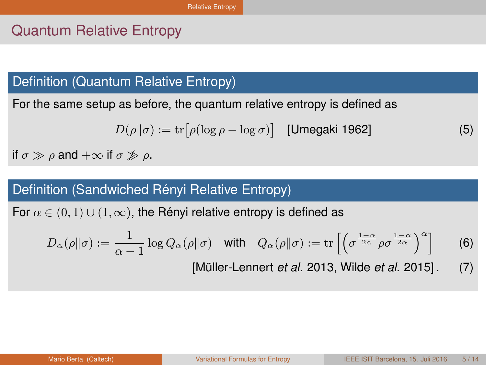# <span id="page-9-0"></span>Quantum Relative Entropy

# Definition (Quantum Relative Entropy)

For the same setup as before, the quantum relative entropy is defined as

$$
D(\rho||\sigma) := \text{tr}\big[\rho(\log \rho - \log \sigma)\big] \quad \text{[Umegaki 1962]}
$$
 (5)

if  $\sigma \gg \rho$  and  $+\infty$  if  $\sigma \not\gg \rho$ .

### Definition (Sandwiched Rényi Relative Entropy)

For  $\alpha \in (0, 1) \cup (1, \infty)$ , the Rényi relative entropy is defined as

$$
D_{\alpha}(\rho\|\sigma) := \frac{1}{\alpha - 1} \log Q_{\alpha}(\rho\|\sigma) \quad \text{with} \quad Q_{\alpha}(\rho\|\sigma) := \text{tr}\left[\left(\sigma^{\frac{1 - \alpha}{2\alpha}}\rho\sigma^{\frac{1 - \alpha}{2\alpha}}\right)^{\alpha}\right] \tag{6}
$$

[Müller-Lennert *et al.* 2013, Wilde *et al.* 2015] . (7)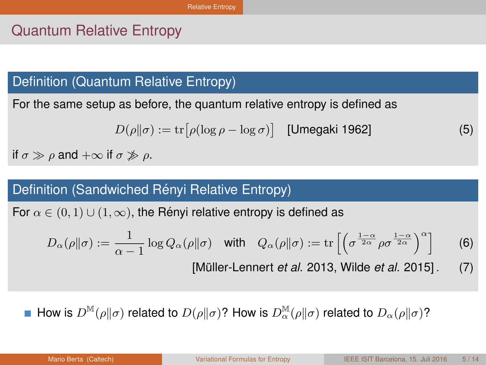# <span id="page-10-0"></span>Quantum Relative Entropy

# Definition (Quantum Relative Entropy)

For the same setup as before, the quantum relative entropy is defined as

$$
D(\rho||\sigma) := \text{tr}\big[\rho(\log \rho - \log \sigma)\big] \quad \text{[Umegaki 1962]}
$$
 (5)

if  $\sigma \gg \rho$  and  $+\infty$  if  $\sigma \not\gg \rho$ .

### Definition (Sandwiched Rényi Relative Entropy)

For  $\alpha \in (0, 1) \cup (1, \infty)$ , the Rényi relative entropy is defined as

$$
D_{\alpha}(\rho\|\sigma) := \frac{1}{\alpha - 1} \log Q_{\alpha}(\rho\|\sigma) \quad \text{with} \quad Q_{\alpha}(\rho\|\sigma) := \text{tr}\left[\left(\sigma^{\frac{1 - \alpha}{2\alpha}}\rho\sigma^{\frac{1 - \alpha}{2\alpha}}\right)^{\alpha}\right] \tag{6}
$$

[Müller-Lennert *et al.* 2013, Wilde *et al.* 2015] . (7)

How is  $D^{\mathbb{M}}(\rho\|\sigma)$  related to  $D(\rho\|\sigma)$ ? How is  $D^{\mathbb{M}}_{\alpha}(\rho\|\sigma)$  related to  $D_{\alpha}(\rho\|\sigma)$ ?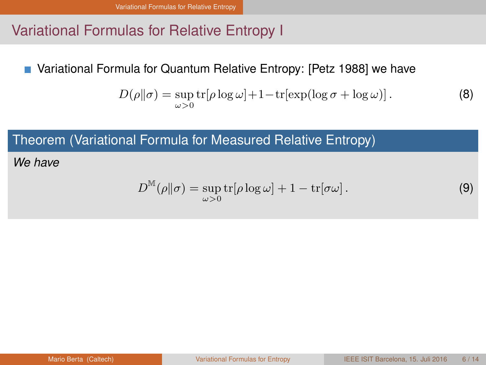## <span id="page-11-0"></span>Variational Formulas for Relative Entropy I

Variational Formula for Quantum Relative Entropy: [Petz 1988] we have

$$
D(\rho||\sigma) = \sup_{\omega > 0} \text{tr}[\rho \log \omega] + 1 - \text{tr}[\exp(\log \sigma + \log \omega)].
$$
 (8)

Theorem (Variational Formula for Measured Relative Entropy)

*We have*

$$
D^{\mathbb{M}}(\rho||\sigma) = \sup_{\omega > 0} \text{tr}[\rho \log \omega] + 1 - \text{tr}[\sigma \omega]. \tag{9}
$$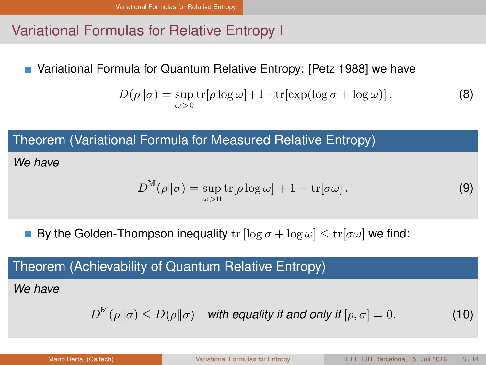# <span id="page-12-0"></span>Variational Formulas for Relative Entropy I

Variational Formula for Quantum Relative Entropy: [Petz 1988] we have

$$
D(\rho||\sigma) = \sup_{\omega > 0} \text{tr}[\rho \log \omega] + 1 - \text{tr}[\exp(\log \sigma + \log \omega)].
$$
 (8)

Theorem (Variational Formula for Measured Relative Entropy)

*We have*

$$
D^{\mathbb{M}}(\rho||\sigma) = \sup_{\omega > 0} \text{tr}[\rho \log \omega] + 1 - \text{tr}[\sigma \omega]. \tag{9}
$$

By the Golden-Thompson inequality  $tr [\log \sigma + \log \omega] < tr [\sigma \omega]$  we find:

### Theorem (Achievability of Quantum Relative Entropy)

*We have*

$$
D^{\mathbb{M}}(\rho||\sigma) \le D(\rho||\sigma) \quad \text{with equality if and only if } [\rho, \sigma] = 0. \tag{10}
$$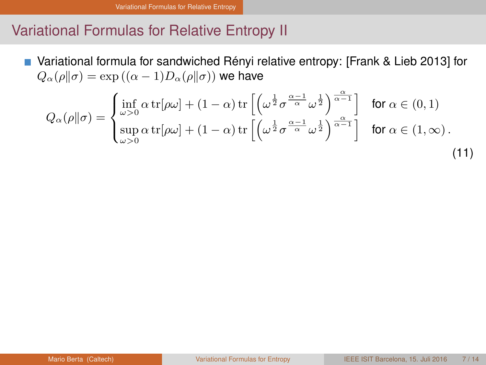### <span id="page-13-0"></span>Variational Formulas for Relative Entropy II

■ Variational formula for sandwiched Rényi relative entropy: [Frank & Lieb 2013] for  $Q_{\alpha}(\rho\|\sigma) = \exp((\alpha - 1)D_{\alpha}(\rho\|\sigma))$  we have

$$
Q_{\alpha}(\rho||\sigma) = \begin{cases} \inf_{\omega>0} \alpha \operatorname{tr}[\rho\omega] + (1-\alpha) \operatorname{tr}\left[\left(\omega^{\frac{1}{2}} \sigma^{\frac{\alpha-1}{\alpha}} \omega^{\frac{1}{2}}\right)^{\frac{\alpha}{\alpha-1}}\right] & \text{for } \alpha \in (0,1) \\ \sup_{\omega>0} \alpha \operatorname{tr}[\rho\omega] + (1-\alpha) \operatorname{tr}\left[\left(\omega^{\frac{1}{2}} \sigma^{\frac{\alpha-1}{\alpha}} \omega^{\frac{1}{2}}\right)^{\frac{\alpha}{\alpha-1}}\right] & \text{for } \alpha \in (1,\infty). \end{cases}
$$
(11)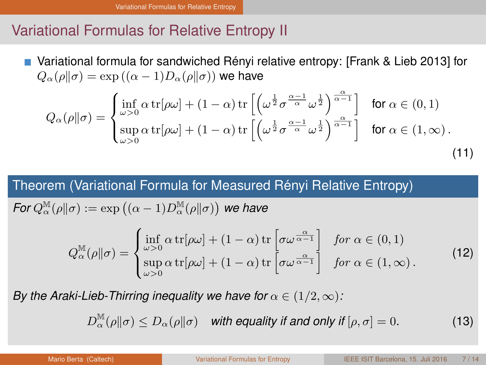# <span id="page-14-0"></span>Variational Formulas for Relative Entropy II

Variational formula for sandwiched Renyi relative entropy: [Frank & Lieb 2013] for ´  $Q_{\alpha}(\rho\|\sigma) = \exp((\alpha - 1)D_{\alpha}(\rho\|\sigma))$  we have

$$
Q_{\alpha}(\rho||\sigma) = \begin{cases} \inf_{\omega>0} \alpha \operatorname{tr}[\rho\omega] + (1-\alpha) \operatorname{tr}\left[\left(\omega^{\frac{1}{2}} \sigma^{\frac{\alpha-1}{\alpha}} \omega^{\frac{1}{2}}\right)^{\frac{\alpha}{\alpha-1}}\right] & \text{for } \alpha \in (0,1) \\ \sup_{\omega>0} \alpha \operatorname{tr}[\rho\omega] + (1-\alpha) \operatorname{tr}\left[\left(\omega^{\frac{1}{2}} \sigma^{\frac{\alpha-1}{\alpha}} \omega^{\frac{1}{2}}\right)^{\frac{\alpha}{\alpha-1}}\right] & \text{for } \alpha \in (1,\infty). \end{cases}
$$
(11)

### Theorem (Variational Formula for Measured Rényi Relative Entropy)

$$
\text{For } Q_\alpha^{\mathbb{M}}(\rho\|\sigma):=\exp\left((\alpha-1)D^\mathbb{M}_\alpha(\rho\|\sigma)\right) \text{ we have }
$$

$$
Q_{\alpha}^{\mathbb{M}}(\rho||\sigma) = \begin{cases} \inf_{\omega>0} \alpha \operatorname{tr}[\rho\omega] + (1-\alpha) \operatorname{tr}\left[\sigma\omega^{\frac{\alpha}{\alpha-1}}\right] & \text{for } \alpha \in (0,1) \\ \sup_{\omega>0} \alpha \operatorname{tr}[\rho\omega] + (1-\alpha) \operatorname{tr}\left[\sigma\omega^{\frac{\alpha}{\alpha-1}}\right] & \text{for } \alpha \in (1,\infty). \end{cases}
$$
(12)

*By the Araki-Lieb-Thirring inequality we have for*  $\alpha \in (1/2, \infty)$ :

$$
D_{\alpha}^{\mathbb{M}}(\rho\|\sigma) \le D_{\alpha}(\rho\|\sigma) \quad \text{with equality if and only if } [\rho, \sigma] = 0. \tag{13}
$$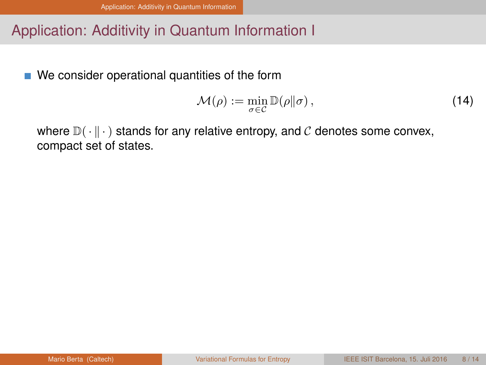# <span id="page-15-0"></span>Application: Additivity in Quantum Information I

■ We consider operational quantities of the form

$$
\mathcal{M}(\rho) := \min_{\sigma \in \mathcal{C}} \mathbb{D}(\rho || \sigma), \tag{14}
$$

where  $\mathbb{D}(\cdot \parallel \cdot)$  stands for any relative entropy, and C denotes some convex, compact set of states.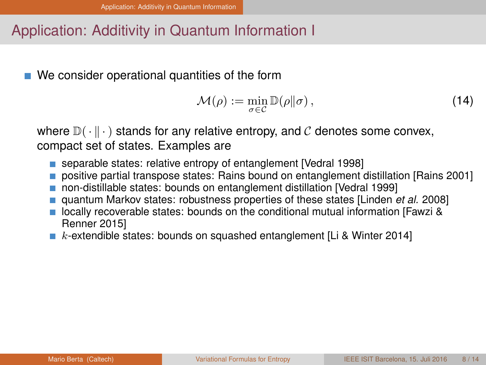# <span id="page-16-0"></span>Application: Additivity in Quantum Information I

■ We consider operational quantities of the form

$$
\mathcal{M}(\rho) := \min_{\sigma \in \mathcal{C}} \mathbb{D}(\rho || \sigma), \tag{14}
$$

where  $\mathbb{D}(\cdot \parallel \cdot)$  stands for any relative entropy, and C denotes some convex, compact set of states. Examples are

- separable states: relative entropy of entanglement [Vedral 1998]
- **positive partial transpose states: Rains bound on entanglement distillation [Rains 2001]**
- non-distillable states: bounds on entanglement distillation [Vedral 1999]
- quantum Markov states: robustness properties of these states [Linden *et al.* 2008]
- **Decally recoverable states: bounds on the conditional mutual information [Fawzi &** Renner 2015]
- $\blacksquare$  k-extendible states: bounds on squashed entanglement [Li & Winter 2014]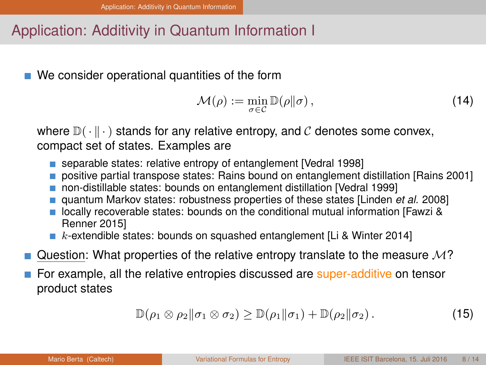# <span id="page-17-0"></span>Application: Additivity in Quantum Information I

■ We consider operational quantities of the form

$$
\mathcal{M}(\rho) := \min_{\sigma \in \mathcal{C}} \mathbb{D}(\rho || \sigma), \tag{14}
$$

where  $\mathbb{D}(\cdot \parallel \cdot)$  stands for any relative entropy, and C denotes some convex, compact set of states. Examples are

- separable states: relative entropy of entanglement [Vedral 1998]
- **positive partial transpose states: Rains bound on entanglement distillation [Rains 2001]**
- non-distillable states: bounds on entanglement distillation [Vedral 1999]
- quantum Markov states: robustness properties of these states [Linden *et al.* 2008]
- **Decally recoverable states: bounds on the conditional mutual information [Fawzi &** Renner 2015]
- $\blacksquare$  k-extendible states: bounds on squashed entanglement [Li & Winter 2014]
- Question: What properties of the relative entropy translate to the measure  $\mathcal{M}$ ?
- For example, all the relative entropies discussed are super-additive on tensor product states

$$
\mathbb{D}(\rho_1 \otimes \rho_2 \|\sigma_1 \otimes \sigma_2) \ge \mathbb{D}(\rho_1 \|\sigma_1) + \mathbb{D}(\rho_2 \|\sigma_2).
$$
 (15)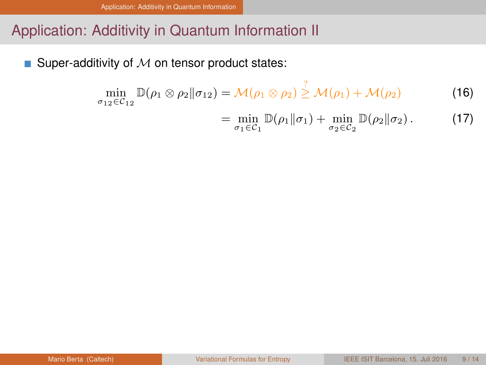# <span id="page-18-0"></span>Application: Additivity in Quantum Information II

 $\overline{\phantom{a}}$ Super-additivity of  $M$  on tensor product states:

$$
\min_{\sigma_{12}\in\mathcal{C}_{12}}\mathbb{D}(\rho_1\otimes\rho_2||\sigma_{12})=\mathcal{M}(\rho_1\otimes\rho_2)\stackrel{\cdot}{\geq}\mathcal{M}(\rho_1)+\mathcal{M}(\rho_2)\tag{16}
$$

 $\ddot{\phantom{1}}$ 

$$
= \min_{\sigma_1 \in C_1} \mathbb{D}(\rho_1 \| \sigma_1) + \min_{\sigma_2 \in C_2} \mathbb{D}(\rho_2 \| \sigma_2).
$$
 (17)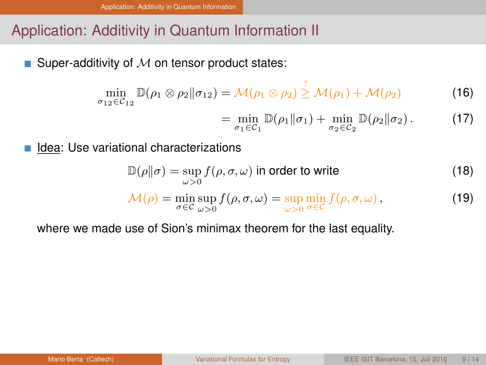# <span id="page-19-0"></span>Application: Additivity in Quantum Information II

Super-additivity of  $M$  on tensor product states:

$$
\min_{\sigma_{12}\in\mathcal{C}_{12}}\mathbb{D}(\rho_1\otimes\rho_2\|\sigma_{12})=\mathcal{M}(\rho_1\otimes\rho_2)\overset{\circ}{\geq}\mathcal{M}(\rho_1)+\mathcal{M}(\rho_2)\tag{16}
$$

$$
= \min_{\sigma_1 \in C_1} \mathbb{D}(\rho_1 \| \sigma_1) + \min_{\sigma_2 \in C_2} \mathbb{D}(\rho_2 \| \sigma_2).
$$
 (17)

Idea: Use variational characterizations

$$
\mathbb{D}(\rho||\sigma) = \sup_{\omega > 0} f(\rho, \sigma, \omega) \text{ in order to write}
$$
\n(18)

 $\sim$ 

$$
\mathcal{M}(\rho) = \min_{\sigma \in \mathcal{C}} \sup_{\omega > 0} f(\rho, \sigma, \omega) = \sup_{\omega > 0} \min_{\sigma \in \mathcal{C}} f(\rho, \sigma, \omega), \tag{19}
$$

where we made use of Sion's minimax theorem for the last equality.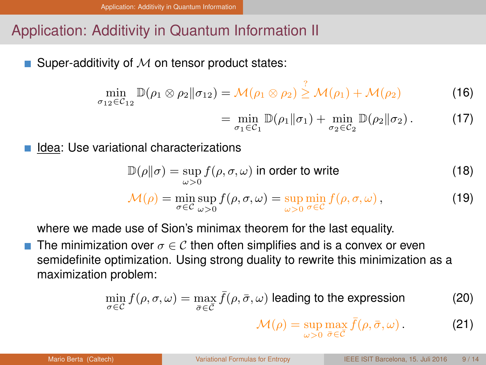# <span id="page-20-0"></span>Application: Additivity in Quantum Information II

Super-additivity of  $M$  on tensor product states:

$$
\min_{\sigma_{12}\in\mathcal{C}_{12}}\mathbb{D}(\rho_1\otimes\rho_2\|\sigma_{12})=\mathcal{M}(\rho_1\otimes\rho_2)\overset{\circ}{\geq}\mathcal{M}(\rho_1)+\mathcal{M}(\rho_2)\tag{16}
$$

$$
= \min_{\sigma_1 \in C_1} \mathbb{D}(\rho_1 \| \sigma_1) + \min_{\sigma_2 \in C_2} \mathbb{D}(\rho_2 \| \sigma_2).
$$
 (17)

Idea: Use variational characterizations

$$
\mathbb{D}(\rho||\sigma) = \sup_{\omega > 0} f(\rho, \sigma, \omega) \text{ in order to write}
$$
\n(18)

?

$$
\mathcal{M}(\rho) = \min_{\sigma \in \mathcal{C}} \sup_{\omega > 0} f(\rho, \sigma, \omega) = \sup_{\omega > 0} \min_{\sigma \in \mathcal{C}} f(\rho, \sigma, \omega), \tag{19}
$$

where we made use of Sion's minimax theorem for the last equality.

The minimization over  $\sigma \in \mathcal{C}$  then often simplifies and is a convex or even semidefinite optimization. Using strong duality to rewrite this minimization as a maximization problem:

$$
\min_{\sigma \in \mathcal{C}} f(\rho, \sigma, \omega) = \max_{\bar{\sigma} \in \bar{\mathcal{C}}} \bar{f}(\rho, \bar{\sigma}, \omega) \text{ leading to the expression}
$$
\n
$$
\mathcal{M}(\rho) = \sup_{\omega > 0} \max_{\bar{\sigma} \in \bar{\mathcal{C}}} \bar{f}(\rho, \bar{\sigma}, \omega) \,.
$$
\n(21)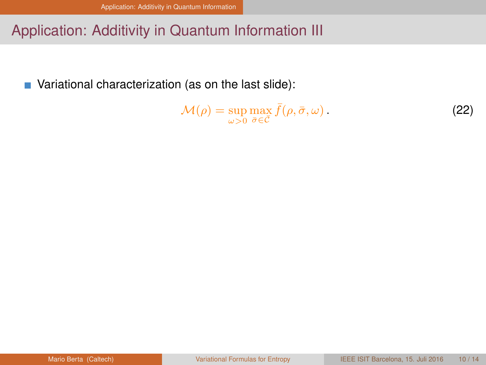# <span id="page-21-0"></span>Application: Additivity in Quantum Information III

■ Variational characterization (as on the last slide):

$$
\mathcal{M}(\rho) = \sup_{\omega > 0} \max_{\bar{\sigma} \in \bar{\mathcal{C}}} \bar{f}(\rho, \bar{\sigma}, \omega).
$$
 (22)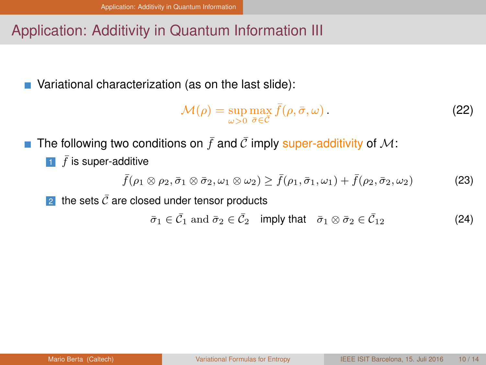# <span id="page-22-0"></span>Application: Additivity in Quantum Information III

■ Variational characterization (as on the last slide):

$$
\mathcal{M}(\rho) = \sup_{\omega>0} \max_{\bar{\sigma} \in \bar{\mathcal{C}}} \bar{f}(\rho, \bar{\sigma}, \omega).
$$
 (22)

The following two conditions on  $\bar{f}$  and  $\bar{C}$  imply super-additivity of M:  $\mathcal{L}_{\mathcal{A}}$  $\bar{1}$   $\bar{f}$  is super-additive

$$
\bar{f}(\rho_1 \otimes \rho_2, \bar{\sigma}_1 \otimes \bar{\sigma}_2, \omega_1 \otimes \omega_2) \geq \bar{f}(\rho_1, \bar{\sigma}_1, \omega_1) + \bar{f}(\rho_2, \bar{\sigma}_2, \omega_2)
$$
 (23)

2 the sets  $\bar{C}$  are closed under tensor products

 $\bar{\sigma}_1 \in \bar{\mathcal{C}}_1$  and  $\bar{\sigma}_2 \in \bar{\mathcal{C}}_2$  imply that  $\bar{\sigma}_1 \otimes \bar{\sigma}_2 \in \bar{\mathcal{C}}_{12}$  (24)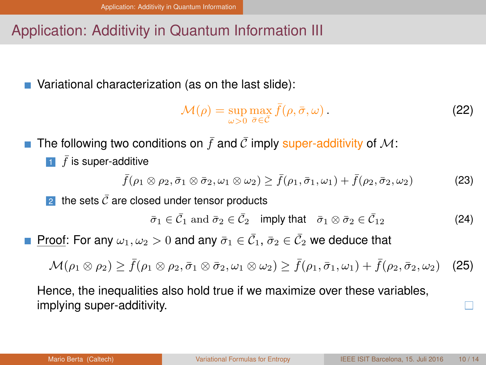# <span id="page-23-0"></span>Application: Additivity in Quantum Information III

■ Variational characterization (as on the last slide):

$$
\mathcal{M}(\rho) = \sup_{\omega>0} \max_{\bar{\sigma} \in \bar{\mathcal{C}}} \bar{f}(\rho, \bar{\sigma}, \omega).
$$
 (22)

The following two conditions on  $\bar{f}$  and  $\bar{C}$  imply super-additivity of M:  $\bar{1}$   $\bar{f}$  is super-additive

$$
\bar{f}(\rho_1 \otimes \rho_2, \bar{\sigma}_1 \otimes \bar{\sigma}_2, \omega_1 \otimes \omega_2) \geq \bar{f}(\rho_1, \bar{\sigma}_1, \omega_1) + \bar{f}(\rho_2, \bar{\sigma}_2, \omega_2)
$$
 (23)

2 the sets  $\bar{C}$  are closed under tensor products

 $\bar{\sigma}_1 \in \bar{\mathcal{C}}_1$  and  $\bar{\sigma}_2 \in \bar{\mathcal{C}}_2$  imply that  $\bar{\sigma}_1 \otimes \bar{\sigma}_2 \in \bar{\mathcal{C}}_{12}$  (24)

Proof: For any  $\omega_1, \omega_2 > 0$  and any  $\bar{\sigma}_1 \in \bar{\mathcal{C}}_1$ ,  $\bar{\sigma}_2 \in \bar{\mathcal{C}}_2$  we deduce that

$$
\mathcal{M}(\rho_1 \otimes \rho_2) \ge \bar{f}(\rho_1 \otimes \rho_2, \bar{\sigma}_1 \otimes \bar{\sigma}_2, \omega_1 \otimes \omega_2) \ge \bar{f}(\rho_1, \bar{\sigma}_1, \omega_1) + \bar{f}(\rho_2, \bar{\sigma}_2, \omega_2)
$$
 (25)

Hence, the inequalities also hold true if we maximize over these variables, implying super-additivity.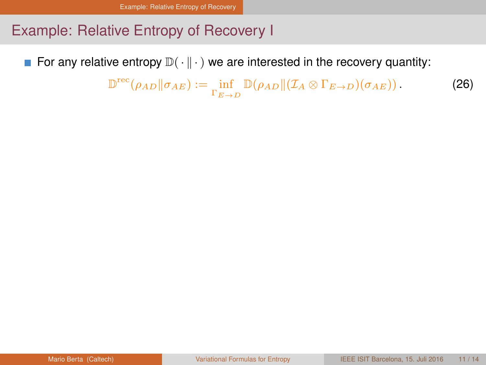<span id="page-24-0"></span>For any relative entropy  $\mathbb{D}(\cdot \| \cdot)$  we are interested in the recovery quantity:

 $\mathbb{D}^{\text{rec}}(\rho_{AD}||\sigma_{AE}) := \inf_{\Gamma_{E\to D}} \mathbb{D}(\rho_{AD}||(\mathcal{I}_A \otimes \Gamma_{E\to D})(\sigma_{AE})).$  (26)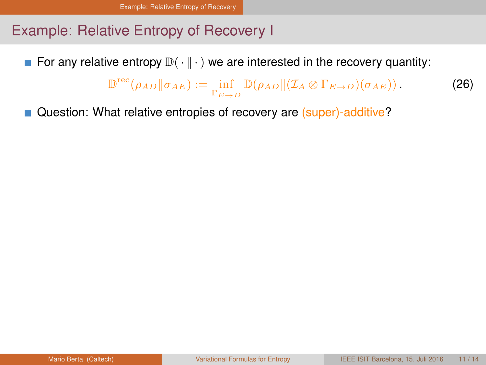<span id="page-25-0"></span>For any relative entropy  $\mathbb{D}(\cdot \parallel \cdot)$  we are interested in the recovery quantity:

 $\mathbb{D}^{\text{rec}}(\rho_{AD}||\sigma_{AE}) := \inf_{\Gamma_{E\to D}} \mathbb{D}(\rho_{AD}||(\mathcal{I}_A \otimes \Gamma_{E\to D})(\sigma_{AE})).$  (26)

Question: What relative entropies of recovery are (super)-additive?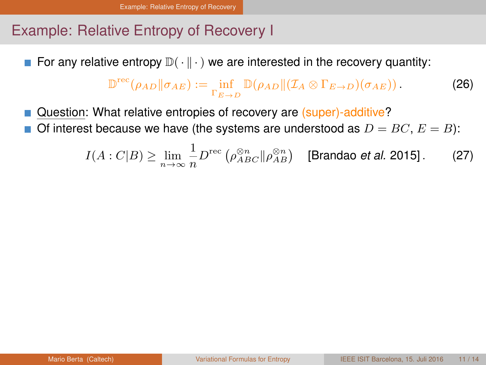<span id="page-26-0"></span>For any relative entropy  $\mathbb{D}(\cdot \parallel \cdot)$  we are interested in the recovery quantity:

$$
\mathbb{D}^{\text{rec}}(\rho_{AD} \| \sigma_{AE}) := \inf_{\Gamma_{E \to D}} \mathbb{D}(\rho_{AD} \| (\mathcal{I}_A \otimes \Gamma_{E \to D})(\sigma_{AE})).
$$
 (26)

Question: What relative entropies of recovery are (super)-additive? Of interest because we have (the systems are understood as  $D = BC, E = B$ ):

$$
I(A:C|B) \ge \lim_{n \to \infty} \frac{1}{n} D^{\text{rec}} \left( \rho_{ABC}^{\otimes n} || \rho_{AB}^{\otimes n} \right) \quad \text{[Brandao et al. 2015]}.
$$
 (27)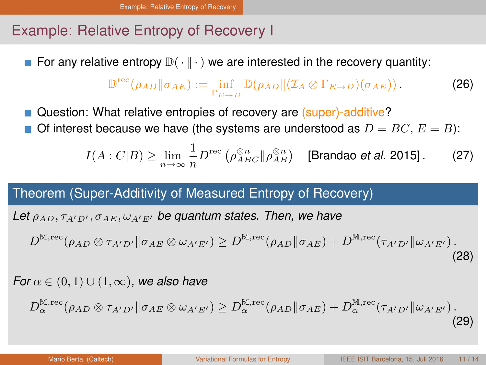<span id="page-27-0"></span>For any relative entropy  $\mathbb{D}(\cdot \| \cdot)$  we are interested in the recovery quantity:

$$
\mathbb{D}^{\text{rec}}(\rho_{AD} \| \sigma_{AE}) := \inf_{\Gamma_{E \to D}} \mathbb{D}(\rho_{AD} \| (\mathcal{I}_A \otimes \Gamma_{E \to D})(\sigma_{AE})).
$$
 (26)

Question: What relative entropies of recovery are (super)-additive? Of interest because we have (the systems are understood as  $D = BC, E = B$ ):

$$
I(A:C|B) \ge \lim_{n \to \infty} \frac{1}{n} D^{\text{rec}} \left( \rho_{ABC}^{\otimes n} || \rho_{AB}^{\otimes n} \right) \quad \text{[Brandao et al. 2015]}.
$$
 (27)

Theorem (Super-Additivity of Measured Entropy of Recovery)

Let  $\rho_{AD}, \tau_{A'D'}$ ,  $\sigma_{AE}, \omega_{A'E'}$  be quantum states. Then, we have

 $D^{\mathbb{M},\mathrm{rec}}(\rho_{AD}\otimes \tau_{A^{\prime}D^{\prime}}\|\sigma_{AE}\otimes \omega_{A^{\prime}E^{\prime}})\geq D^{\mathbb{M},\mathrm{rec}}(\rho_{AD}\|\sigma_{AE})+D^{\mathbb{M},\mathrm{rec}}(\tau_{A^{\prime}D^{\prime}}\|\omega_{A^{\prime}E^{\prime}})\,.$ (28)

*For*  $\alpha \in (0,1) \cup (1,\infty)$ *, we also have* 

$$
D_{\alpha}^{\mathbb{M},\text{rec}}(\rho_{AD}\otimes\tau_{A'D'}\|\sigma_{AE}\otimes\omega_{A'E'})\geq D_{\alpha}^{\mathbb{M},\text{rec}}(\rho_{AD}\|\sigma_{AE})+D_{\alpha}^{\mathbb{M},\text{rec}}(\tau_{A'D'}\|\omega_{A'E'})\,. \tag{29}
$$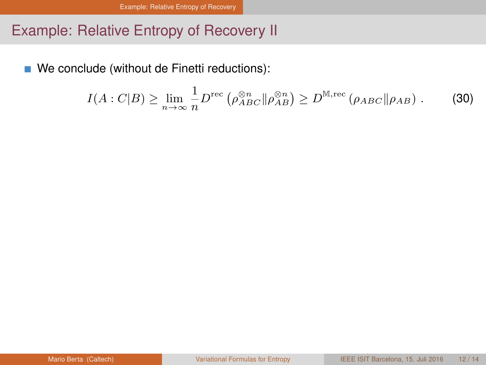<span id="page-28-0"></span>We conclude (without de Finetti reductions):

$$
I(A:C|B) \geq \lim_{n \to \infty} \frac{1}{n} D^{\text{rec}} \left( \rho_{ABC}^{\otimes n} || \rho_{AB}^{\otimes n} \right) \geq D^{\mathbb{M}, \text{rec}} \left( \rho_{ABC} || \rho_{AB} \right). \tag{30}
$$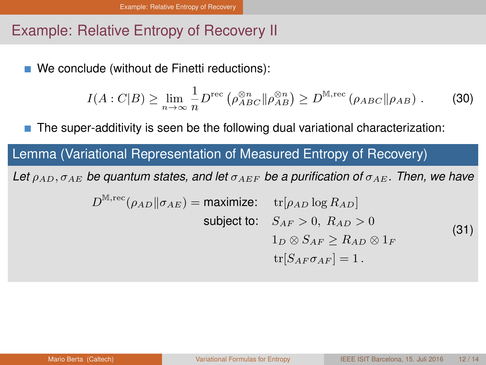<span id="page-29-0"></span>We conclude (without de Finetti reductions):

$$
I(A:C|B) \geq \lim_{n \to \infty} \frac{1}{n} D^{\text{rec}} \left( \rho_{ABC}^{\otimes n} || \rho_{AB}^{\otimes n} \right) \geq D^{\mathbb{M}, \text{rec}} \left( \rho_{ABC} || \rho_{AB} \right). \tag{30}
$$

The super-additivity is seen be the following dual variational characterization:

## Lemma (Variational Representation of Measured Entropy of Recovery)

Let  $\rho_{AD}, \sigma_{AE}$  *be quantum states, and let*  $\sigma_{AEF}$  *be a purification of*  $\sigma_{AE}$ *. Then, we have* 

$$
D^{\mathbb{M},\text{rec}}(\rho_{AD}||\sigma_{AE}) = \text{maximize:} \quad \text{tr}[\rho_{AD}\log R_{AD}]
$$
  
subject to: 
$$
S_{AF} > 0, R_{AD} > 0
$$

$$
1_D \otimes S_{AF} \ge R_{AD} \otimes 1_F
$$

$$
\text{tr}[S_{AF}\sigma_{AF}] = 1.
$$
 (31)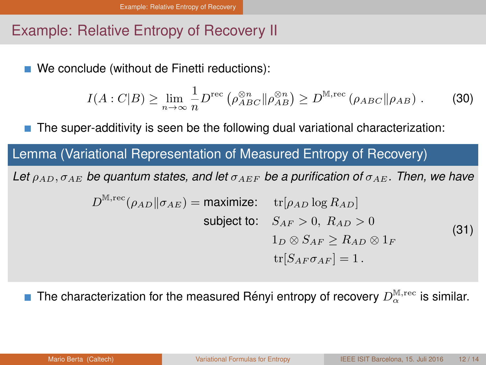<span id="page-30-0"></span>We conclude (without de Finetti reductions):

$$
I(A:C|B) \geq \lim_{n \to \infty} \frac{1}{n} D^{\text{rec}} \left( \rho_{ABC}^{\otimes n} || \rho_{AB}^{\otimes n} \right) \geq D^{\mathbb{M}, \text{rec}} \left( \rho_{ABC} || \rho_{AB} \right). \tag{30}
$$

The super-additivity is seen be the following dual variational characterization:

## Lemma (Variational Representation of Measured Entropy of Recovery)

Let  $\rho_{AD}$ ,  $\sigma_{AE}$  *be quantum states, and let*  $\sigma_{AEF}$  *be a purification of*  $\sigma_{AEF}$ *. Then, we have* 

$$
D^{\mathbb{M},\text{rec}}(\rho_{AD}||\sigma_{AE}) = \text{maximize:} \quad \text{tr}[\rho_{AD}\log R_{AD}]
$$
  
subject to: 
$$
S_{AF} > 0, R_{AD} > 0
$$

$$
1_D \otimes S_{AF} \ge R_{AD} \otimes 1_F
$$

$$
\text{tr}[S_{AF}\sigma_{AF}] = 1.
$$
 (31)

The characterization for the measured Rényi entropy of recovery  $D_\alpha^{\mathbb{M},{\rm rec}}$  is similar.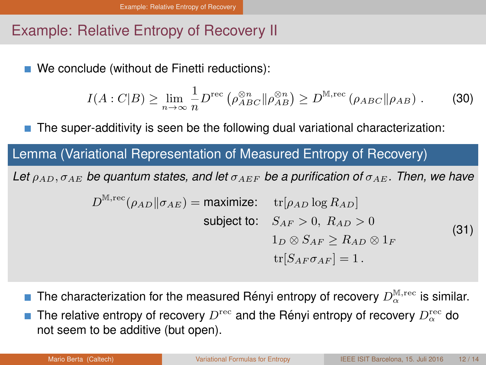<span id="page-31-0"></span>■ We conclude (without de Finetti reductions):

$$
I(A:C|B) \geq \lim_{n \to \infty} \frac{1}{n} D^{\text{rec}} \left( \rho_{ABC}^{\otimes n} || \rho_{AB}^{\otimes n} \right) \geq D^{\mathbb{M}, \text{rec}} \left( \rho_{ABC} || \rho_{AB} \right). \tag{30}
$$

The super-additivity is seen be the following dual variational characterization:

### Lemma (Variational Representation of Measured Entropy of Recovery)

Let  $\rho_{AD}$ ,  $\sigma_{AE}$  *be quantum states, and let*  $\sigma_{AEF}$  *be a purification of*  $\sigma_{AEF}$ *. Then, we have* 

$$
D^{\mathbb{M},\text{rec}}(\rho_{AD}||\sigma_{AE}) = \text{maximize:} \quad \text{tr}[\rho_{AD}\log R_{AD}]
$$
  
subject to: 
$$
S_{AF} > 0, R_{AD} > 0
$$

$$
1_D \otimes S_{AF} \ge R_{AD} \otimes 1_F
$$

$$
\text{tr}[S_{AF}\sigma_{AF}] = 1.
$$
 (31)

- The characterization for the measured Rényi entropy of recovery  $D_\alpha^{\mathbb{M},{\rm rec}}$  is similar.
- The relative entropy of recovery  $D^{\text{rec}}$  and the Rényi entropy of recovery  $D^{\text{rec}}_{\alpha}$  do not seem to be additive (but open).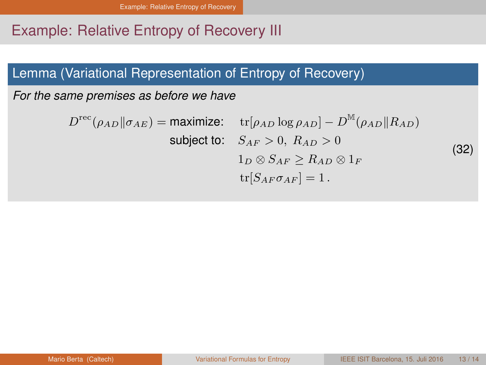### <span id="page-32-0"></span>Lemma (Variational Representation of Entropy of Recovery)

*For the same premises as before we have*

 $D^{\text{rec}}(\rho_{AD} || \sigma_{AE}) = \text{maximize:} \quad \text{tr}[\rho_{AD} \log \rho_{AD}] - D$  $^{\mathbb{M}}(\rho_{AD}\Vert R_{AD})$ subject to:  $S_{AF} > 0$ ,  $R_{AD} > 0$  $1_D \otimes S_{AF}$  >  $R_{AD} \otimes 1_F$  $\text{tr}[S_{AF} \sigma_{AF}] = 1$ . (32)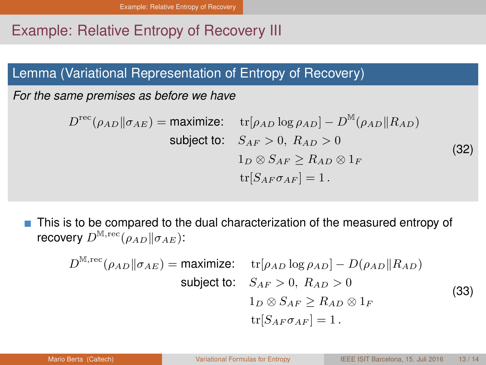### <span id="page-33-0"></span>Lemma (Variational Representation of Entropy of Recovery)

*For the same premises as before we have*

 $D^{\text{rec}}(\rho_{AD} || \sigma_{AE}) = \text{maximize:} \quad \text{tr}[\rho_{AD} \log \rho_{AD}] - D$  $^{\mathbb{M}}(\rho_{AD}\Vert R_{AD})$ subject to:  $S_{AF} > 0$ ,  $R_{AD} > 0$  $1_D \otimes S_{AF}$  >  $R_{AD} \otimes 1_F$  $\text{tr}[S_{AF} \sigma_{AF}] = 1$ . (32)

This is to be compared to the dual characterization of the measured entropy of recovery  $D^{\mathbb{M},\mathrm{rec}}(\rho_{AD}\|\sigma_{AE})$ :

$$
D^{\mathbb{M},\text{rec}}(\rho_{AD}||\sigma_{AE}) = \text{maximize:} \quad \text{tr}[\rho_{AD}\log\rho_{AD}] - D(\rho_{AD}||R_{AD})
$$
  
subject to: 
$$
S_{AF} > 0, R_{AD} > 0
$$

$$
1_D \otimes S_{AF} \ge R_{AD} \otimes 1_F
$$

$$
\text{tr}[S_{AF}\sigma_{AF}] = 1.
$$
 (33)